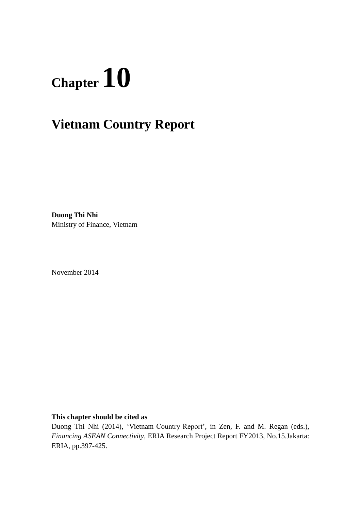# **Chapter 10**

# **Vietnam Country Report**

**Duong Thi Nhi** Ministry of Finance, Vietnam

November 2014

**This chapter should be cited as**

Duong Thi Nhi (2014), 'Vietnam Country Report', in Zen, F. and M. Regan (eds.), *Financing ASEAN Connectivity*, ERIA Research Project Report FY2013, No.15.Jakarta: ERIA, pp.397-425.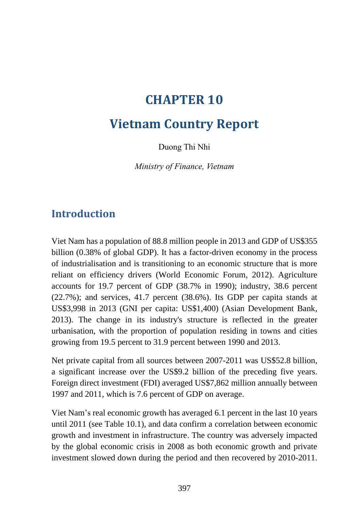# **CHAPTER 10**

# **Vietnam Country Report**

Duong Thi Nhi

*Ministry of Finance, Vietnam*

## **Introduction**

Viet Nam has a population of 88.8 million people in 2013 and GDP of US\$355 billion (0.38% of global GDP). It has a factor-driven economy in the process of industrialisation and is transitioning to an economic structure that is more reliant on efficiency drivers (World Economic Forum, 2012). Agriculture accounts for 19.7 percent of GDP (38.7% in 1990); industry, 38.6 percent (22.7%); and services, 41.7 percent (38.6%). Its GDP per capita stands at US\$3,998 in 2013 (GNI per capita: US\$1,400) (Asian Development Bank, 2013). The change in its industry's structure is reflected in the greater urbanisation, with the proportion of population residing in towns and cities growing from 19.5 percent to 31.9 percent between 1990 and 2013.

Net private capital from all sources between 2007-2011 was US\$52.8 billion, a significant increase over the US\$9.2 billion of the preceding five years. Foreign direct investment (FDI) averaged US\$7,862 million annually between 1997 and 2011, which is 7.6 percent of GDP on average.

Viet Nam's real economic growth has averaged 6.1 percent in the last 10 years until 2011 (see Table 10.1), and data confirm a correlation between economic growth and investment in infrastructure. The country was adversely impacted by the global economic crisis in 2008 as both economic growth and private investment slowed down during the period and then recovered by 2010-2011.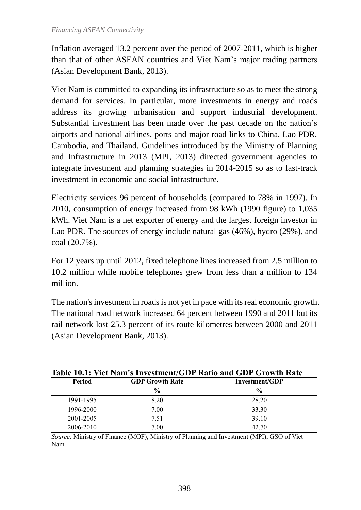Inflation averaged 13.2 percent over the period of 2007-2011, which is higher than that of other ASEAN countries and Viet Nam's major trading partners (Asian Development Bank, 2013).

Viet Nam is committed to expanding its infrastructure so as to meet the strong demand for services. In particular, more investments in energy and roads address its growing urbanisation and support industrial development. Substantial investment has been made over the past decade on the nation's airports and national airlines, ports and major road links to China, Lao PDR, Cambodia, and Thailand. Guidelines introduced by the Ministry of Planning and Infrastructure in 2013 (MPI, 2013) directed government agencies to integrate investment and planning strategies in 2014-2015 so as to fast-track investment in economic and social infrastructure.

Electricity services 96 percent of households (compared to 78% in 1997). In 2010, consumption of energy increased from 98 kWh (1990 figure) to 1,035 kWh. Viet Nam is a net exporter of energy and the largest foreign investor in Lao PDR. The sources of energy include natural gas (46%), hydro (29%), and coal (20.7%).

For 12 years up until 2012, fixed telephone lines increased from 2.5 million to 10.2 million while mobile telephones grew from less than a million to 134 million.

The nation's investment in roads is not yet in pace with its real economic growth. The national road network increased 64 percent between 1990 and 2011 but its rail network lost 25.3 percent of its route kilometres between 2000 and 2011 (Asian Development Bank, 2013).

|           | Table TV.1. Viel Nam S HIVestment/GDT Rau0 and GDT Growth Rate |                |  |  |  |  |  |  |  |  |
|-----------|----------------------------------------------------------------|----------------|--|--|--|--|--|--|--|--|
| Period    | <b>GDP Growth Rate</b>                                         | Investment/GDP |  |  |  |  |  |  |  |  |
|           | $\frac{0}{0}$                                                  | $\frac{6}{6}$  |  |  |  |  |  |  |  |  |
| 1991-1995 | 8.20                                                           | 28.20          |  |  |  |  |  |  |  |  |
| 1996-2000 | 7.00                                                           | 33.30          |  |  |  |  |  |  |  |  |
| 2001-2005 | 7.51                                                           | 39.10          |  |  |  |  |  |  |  |  |
| 2006-2010 | 7.00                                                           | 42.70          |  |  |  |  |  |  |  |  |

**Table 10.1: Viet Nam's Investment/GDP Ratio and GDP Growth Rate**

*Source*: Ministry of Finance (MOF), Ministry of Planning and Investment (MPI), GSO of Viet Nam.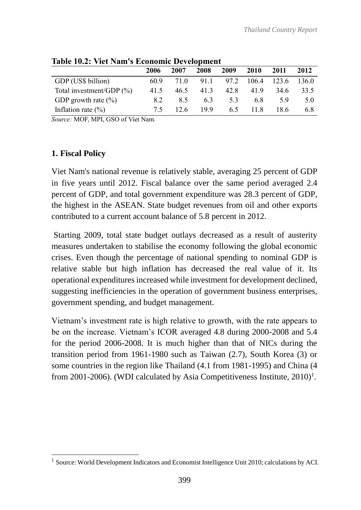|                              | 2006 | 2007 | 2008 | 2009 | 2010  | 2011  | 2012  |
|------------------------------|------|------|------|------|-------|-------|-------|
| GDP (US\$ billion)           | 60.9 | 71 O | 911  | 97.2 | 106.4 | 123.6 | 136 0 |
| Total investment/GDP $(\% )$ | 41.5 | 46.5 | 413  | 42.8 | 419   | 34.6  | 33.5  |
| GDP growth rate $(\% )$      | 82   | 85   | 63   | 5.3  | 68    | 59    | 5.0   |
| Inflation rate $(\% )$       | 75   | 12.6 | 199  | 65   | 11 R  | 186   | 6.8   |

**Table 10.2: Viet Nam's Economic Development**

*Source:* MOF, MPI, GSO of Viet Nam*.*

#### **1. Fiscal Policy**

 $\overline{a}$ 

Viet Nam's national revenue is relatively stable, averaging 25 percent of GDP in five years until 2012. Fiscal balance over the same period averaged 2.4 percent of GDP, and total government expenditure was 28.3 percent of GDP, the highest in the ASEAN. State budget revenues from oil and other exports contributed to a current account balance of 5.8 percent in 2012.

Starting 2009, total state budget outlays decreased as a result of austerity measures undertaken to stabilise the economy following the global economic crises. Even though the percentage of national spending to nominal GDP is relative stable but high inflation has decreased the real value of it. Its operational expenditures increased while investment for development declined, suggesting inefficiencies in the operation of government business enterprises, government spending, and budget management.

Vietnam's investment rate is high relative to growth, with the rate appears to be on the increase. Vietnam's ICOR averaged 4.8 during 2000-2008 and 5.4 for the period 2006-2008. It is much higher than that of NICs during the transition period from 1961-1980 such as Taiwan (2.7), South Korea (3) or some countries in the region like Thailand (4.1 from 1981-1995) and China (4 from 2001-2006). (WDI calculated by Asia Competitiveness Institute,  $2010$ <sup>1</sup>.

<sup>&</sup>lt;sup>1</sup> Source: World Development Indicators and Economist Intelligence Unit 2010; calculations by ACI.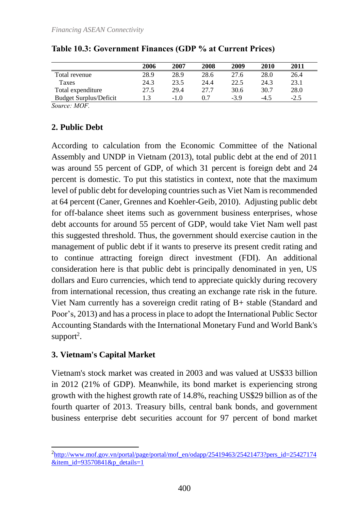|                               | 2006 | 2007   | 2008 | 2009  | 2010   | 2011   |
|-------------------------------|------|--------|------|-------|--------|--------|
| Total revenue                 | 28.9 | 28.9   | 28.6 | 27.6  | 28.0   | 26.4   |
| Taxes                         | 24.3 | 23.5   | 24.4 | 22.5  | 24.3   | 23.1   |
| Total expenditure             | 27.5 | 29.4   | 27.7 | 30.6  | 30.7   | 28.0   |
| <b>Budget Surplus/Deficit</b> |      | $-1.0$ | 0.7  | $-39$ | $-4.5$ | $-2.5$ |

#### **Table 10.3: Government Finances (GDP % at Current Prices)**

*Source: MOF.*

#### **2. Public Debt**

According to calculation from the Economic Committee of the National Assembly and UNDP in Vietnam (2013), total public debt at the end of 2011 was around 55 percent of GDP, of which 31 percent is foreign debt and 24 percent is domestic. To put this statistics in context, note that the maximum level of public debt for developing countries such as Viet Nam is recommended at 64 percent (Caner, Grennes and Koehler-Geib, 2010). Adjusting public debt for off-balance sheet items such as government business enterprises, whose debt accounts for around 55 percent of GDP, would take Viet Nam well past this suggested threshold. Thus, the government should exercise caution in the management of public debt if it wants to preserve its present credit rating and to continue attracting foreign direct investment (FDI). An additional consideration here is that public debt is principally denominated in yen, US dollars and Euro currencies, which tend to appreciate quickly during recovery from international recession, thus creating an exchange rate risk in the future. Viet Nam currently has a sovereign credit rating of B+ stable (Standard and Poor's, 2013) and has a process in place to adopt the International Public Sector Accounting Standards with the International Monetary Fund and World Bank's support<sup>2</sup>.

#### **3. Vietnam's Capital Market**

Vietnam's stock market was created in 2003 and was valued at US\$33 billion in 2012 (21% of GDP). Meanwhile, its bond market is experiencing strong growth with the highest growth rate of 14.8%, reaching US\$29 billion as of the fourth quarter of 2013. Treasury bills, central bank bonds, and government business enterprise debt securities account for 97 percent of bond market

 $\overline{a}$ <sup>2</sup>[http://www.mof.gov.vn/portal/page/portal/mof\\_en/odapp/25419463/25421473?pers\\_id=25427174](http://www.mof.gov.vn/portal/page/portal/mof_en/odapp/25419463/25421473?pers_id=25427174&item_id=93570841&p_details=1)  $&$ item id=93570841 $&$ p $&$ details=1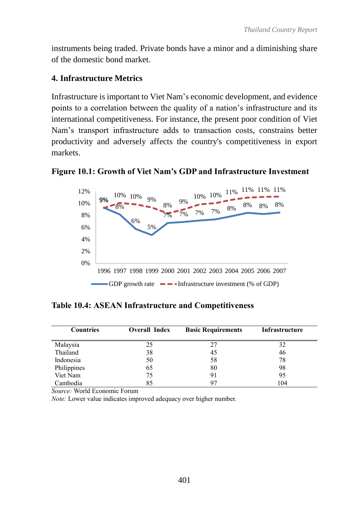instruments being traded. Private bonds have a minor and a diminishing share of the domestic bond market.

#### **4. Infrastructure Metrics**

Infrastructure is important to Viet Nam's economic development, and evidence points to a correlation between the quality of a nation's infrastructure and its international competitiveness. For instance, the present poor condition of Viet Nam's transport infrastructure adds to transaction costs, constrains better productivity and adversely affects the country's competitiveness in export markets.





**Table 10.4: ASEAN Infrastructure and Competitiveness**

| <b>Countries</b> | <b>Overall Index</b> | <b>Basic Requirements</b> | <b>Infrastructure</b> |
|------------------|----------------------|---------------------------|-----------------------|
| Malaysia         | 25                   | 27                        | 32                    |
| Thailand         | 38                   | 45                        | 46                    |
| Indonesia        | 50                   | 58                        | 78                    |
| Philippines      | 65                   | 80                        | 98                    |
| Viet Nam         | 75                   | 91                        | 95                    |
| Cambodia         | 85                   |                           | 104                   |

*Source:* World Economic Forum

*Note:* Lower value indicates improved adequacy over higher number.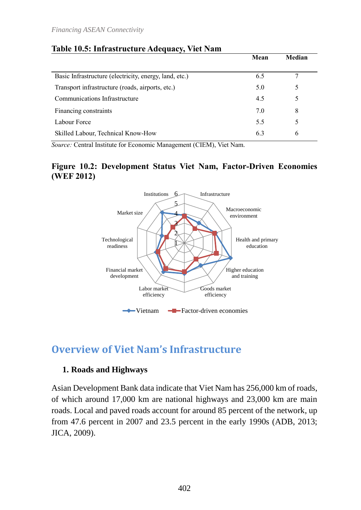|                                                        | Mean | Median |
|--------------------------------------------------------|------|--------|
| Basic Infrastructure (electricity, energy, land, etc.) | 6.5  |        |
| Transport infrastructure (roads, airports, etc.)       | 5.0  |        |
| Communications Infrastructure                          | 4.5  |        |
| Financing constraints                                  | 7.0  | 8      |
| Labour Force                                           | 5.5  |        |
| Skilled Labour, Technical Know-How                     | 6.3  | 6      |

#### **Table 10.5: Infrastructure Adequacy, Viet Nam**

*Source:* Central Institute for Economic Management (CIEM), Viet Nam.

#### **Figure 10.2: Development Status Viet Nam, Factor-Driven Economies (WEF 2012)**



# **Overview of Viet Nam's Infrastructure**

#### **1. Roads and Highways**

Asian Development Bank data indicate that Viet Nam has 256,000 km of roads, of which around 17,000 km are national highways and 23,000 km are main roads. Local and paved roads account for around 85 percent of the network, up from 47.6 percent in 2007 and 23.5 percent in the early 1990s (ADB, 2013; JICA, 2009).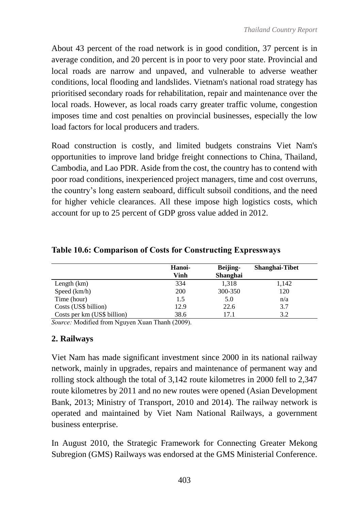About 43 percent of the road network is in good condition, 37 percent is in average condition, and 20 percent is in poor to very poor state. Provincial and local roads are narrow and unpaved, and vulnerable to adverse weather conditions, local flooding and landslides. Vietnam's national road strategy has prioritised secondary roads for rehabilitation, repair and maintenance over the local roads. However, as local roads carry greater traffic volume, congestion imposes time and cost penalties on provincial businesses, especially the low load factors for local producers and traders.

Road construction is costly, and limited budgets constrains Viet Nam's opportunities to improve land bridge freight connections to China, Thailand, Cambodia, and Lao PDR. Aside from the cost, the country has to contend with poor road conditions, inexperienced project managers, time and cost overruns, the country's long eastern seaboard, difficult subsoil conditions, and the need for higher vehicle clearances. All these impose high logistics costs, which account for up to 25 percent of GDP gross value added in 2012.

|                             | Hanoi-<br>Vinh | Beijing-<br><b>Shanghai</b> | Shanghai-Tibet |
|-----------------------------|----------------|-----------------------------|----------------|
| Length $(km)$               | 334            | 1,318                       | 1,142          |
| Speed (km/h)                | <b>200</b>     | 300-350                     | 120            |
| Time (hour)                 | 1.5            | 5.0                         | n/a            |
| Costs (US\$ billion)        | 12.9           | 22.6                        | 3.7            |
| Costs per km (US\$ billion) | 38.6           | 17.1                        | 3.2            |

**Table 10.6: Comparison of Costs for Constructing Expressways**

*Source:* Modified from Nguyen Xuan Thanh (2009).

#### **2. Railways**

Viet Nam has made significant investment since 2000 in its national railway network, mainly in upgrades, repairs and maintenance of permanent way and rolling stock although the total of 3,142 route kilometres in 2000 fell to 2,347 route kilometres by 2011 and no new routes were opened (Asian Development Bank, 2013; Ministry of Transport, 2010 and 2014). The railway network is operated and maintained by Viet Nam National Railways, a government business enterprise.

In August 2010, the Strategic Framework for Connecting Greater Mekong Subregion (GMS) Railways was endorsed at the GMS Ministerial Conference.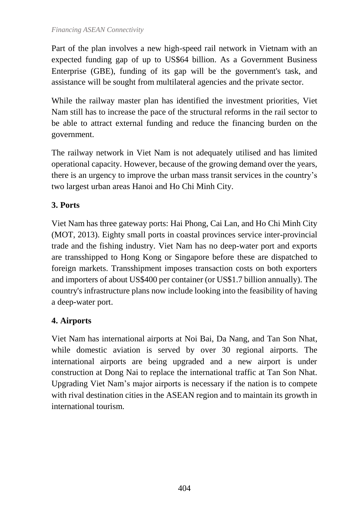Part of the plan involves a new high-speed rail network in Vietnam with an expected funding gap of up to US\$64 billion. As a Government Business Enterprise (GBE), funding of its gap will be the government's task, and assistance will be sought from multilateral agencies and the private sector.

While the railway master plan has identified the investment priorities, Viet Nam still has to increase the pace of the structural reforms in the rail sector to be able to attract external funding and reduce the financing burden on the government.

The railway network in Viet Nam is not adequately utilised and has limited operational capacity. However, because of the growing demand over the years, there is an urgency to improve the urban mass transit services in the country's two largest urban areas Hanoi and Ho Chi Minh City.

## **3. Ports**

Viet Nam has three gateway ports: Hai Phong, Cai Lan, and Ho Chi Minh City (MOT, 2013). Eighty small ports in coastal provinces service inter-provincial trade and the fishing industry. Viet Nam has no deep-water port and exports are transshipped to Hong Kong or Singapore before these are dispatched to foreign markets. Transshipment imposes transaction costs on both exporters and importers of about US\$400 per container (or US\$1.7 billion annually). The country's infrastructure plans now include looking into the feasibility of having a deep-water port.

## **4. Airports**

Viet Nam has international airports at Noi Bai, Da Nang, and Tan Son Nhat, while domestic aviation is served by over 30 regional airports. The international airports are being upgraded and a new airport is under construction at Dong Nai to replace the international traffic at Tan Son Nhat. Upgrading Viet Nam's major airports is necessary if the nation is to compete with rival destination cities in the ASEAN region and to maintain its growth in international tourism.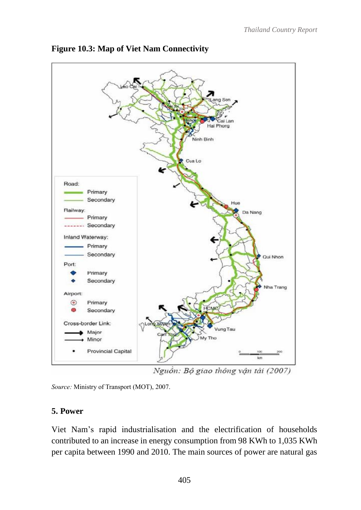

**Figure 10.3: Map of Viet Nam Connectivity**

Nguồn: Bộ giao thông vận tài (2007)

*Source:* Ministry of Transport (MOT), 2007.

#### **5. Power**

Viet Nam's rapid industrialisation and the electrification of households contributed to an increase in energy consumption from 98 KWh to 1,035 KWh per capita between 1990 and 2010. The main sources of power are natural gas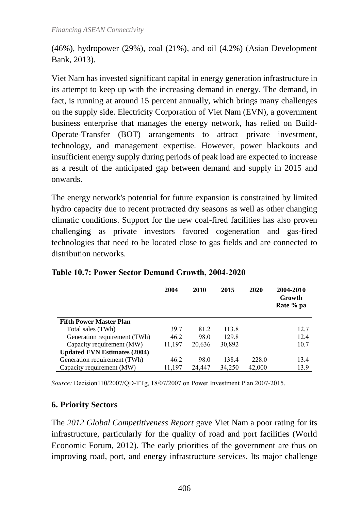(46%), hydropower (29%), coal (21%), and oil (4.2%) (Asian Development Bank, 2013).

Viet Nam has invested significant capital in energy generation infrastructure in its attempt to keep up with the increasing demand in energy. The demand, in fact, is running at around 15 percent annually, which brings many challenges on the supply side. Electricity Corporation of Viet Nam (EVN), a government business enterprise that manages the energy network, has relied on Build-Operate-Transfer (BOT) arrangements to attract private investment, technology, and management expertise. However, power blackouts and insufficient energy supply during periods of peak load are expected to increase as a result of the anticipated gap between demand and supply in 2015 and onwards.

The energy network's potential for future expansion is constrained by limited hydro capacity due to recent protracted dry seasons as well as other changing climatic conditions. Support for the new coal-fired facilities has also proven challenging as private investors favored cogeneration and gas-fired technologies that need to be located close to gas fields and are connected to distribution networks.

|                                     | 2004   | 2010   | 2015   | 2020   | 2004-2010<br>Growth<br>Rate % pa |
|-------------------------------------|--------|--------|--------|--------|----------------------------------|
| <b>Fifth Power Master Plan</b>      |        |        |        |        |                                  |
| Total sales (TWh)                   | 39.7   | 81.2   | 113.8  |        | 12.7                             |
| Generation requirement (TWh)        | 46.2   | 98.0   | 129.8  |        | 12.4                             |
| Capacity requirement (MW)           | 11,197 | 20,636 | 30,892 |        | 10.7                             |
| <b>Updated EVN Estimates (2004)</b> |        |        |        |        |                                  |
| Generation requirement (TWh)        | 46.2   | 98.0   | 138.4  | 228.0  | 13.4                             |
| Capacity requirement (MW)           | 11,197 | 24,447 | 34,250 | 42,000 | 13.9                             |

#### **Table 10.7: Power Sector Demand Growth, 2004-2020**

*Source:* Decision110/2007/QD-TTg, 18/07/2007 on Power Investment Plan 2007-2015.

#### **6. Priority Sectors**

The *2012 Global Competitiveness Report* gave Viet Nam a poor rating for its infrastructure, particularly for the quality of road and port facilities (World Economic Forum, 2012). The early priorities of the government are thus on improving road, port, and energy infrastructure services. Its major challenge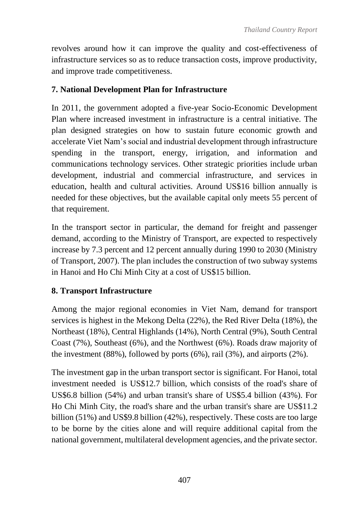revolves around how it can improve the quality and cost-effectiveness of infrastructure services so as to reduce transaction costs, improve productivity, and improve trade competitiveness.

## **7. National Development Plan for Infrastructure**

In 2011, the government adopted a five-year Socio-Economic Development Plan where increased investment in infrastructure is a central initiative. The plan designed strategies on how to sustain future economic growth and accelerate Viet Nam's social and industrial development through infrastructure spending in the transport, energy, irrigation, and information and communications technology services. Other strategic priorities include urban development, industrial and commercial infrastructure, and services in education, health and cultural activities. Around US\$16 billion annually is needed for these objectives, but the available capital only meets 55 percent of that requirement.

In the transport sector in particular, the demand for freight and passenger demand, according to the Ministry of Transport, are expected to respectively increase by 7.3 percent and 12 percent annually during 1990 to 2030 (Ministry of Transport, 2007). The plan includes the construction of two subway systems in Hanoi and Ho Chi Minh City at a cost of US\$15 billion.

## **8. Transport Infrastructure**

Among the major regional economies in Viet Nam, demand for transport services is highest in the Mekong Delta (22%), the Red River Delta (18%), the Northeast (18%), Central Highlands (14%), North Central (9%), South Central Coast (7%), Southeast (6%), and the Northwest (6%). Roads draw majority of the investment (88%), followed by ports (6%), rail (3%), and airports (2%).

The investment gap in the urban transport sector is significant. For Hanoi, total investment needed is US\$12.7 billion, which consists of the road's share of US\$6.8 billion (54%) and urban transit's share of US\$5.4 billion (43%). For Ho Chi Minh City, the road's share and the urban transit's share are US\$11.2 billion (51%) and US\$9.8 billion (42%), respectively. These costs are too large to be borne by the cities alone and will require additional capital from the national government, multilateral development agencies, and the private sector.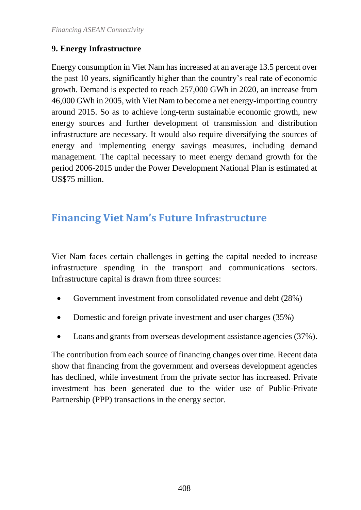## **9. Energy Infrastructure**

Energy consumption in Viet Nam has increased at an average 13.5 percent over the past 10 years, significantly higher than the country's real rate of economic growth. Demand is expected to reach 257,000 GWh in 2020, an increase from 46,000 GWh in 2005, with Viet Nam to become a net energy-importing country around 2015. So as to achieve long-term sustainable economic growth, new energy sources and further development of transmission and distribution infrastructure are necessary. It would also require diversifying the sources of energy and implementing energy savings measures, including demand management. The capital necessary to meet energy demand growth for the period 2006-2015 under the Power Development National Plan is estimated at US\$75 million.

# **Financing Viet Nam's Future Infrastructure**

Viet Nam faces certain challenges in getting the capital needed to increase infrastructure spending in the transport and communications sectors. Infrastructure capital is drawn from three sources:

- Government investment from consolidated revenue and debt (28%)
- Domestic and foreign private investment and user charges (35%)
- Loans and grants from overseas development assistance agencies (37%).

The contribution from each source of financing changes over time. Recent data show that financing from the government and overseas development agencies has declined, while investment from the private sector has increased. Private investment has been generated due to the wider use of Public-Private Partnership (PPP) transactions in the energy sector.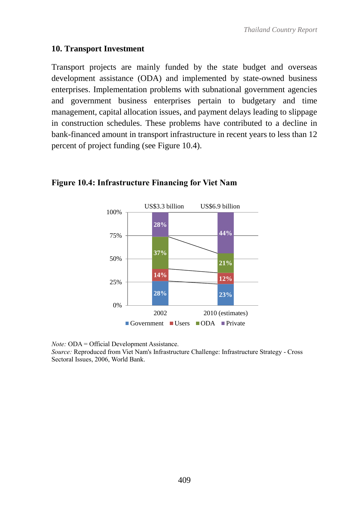#### **10. Transport Investment**

Transport projects are mainly funded by the state budget and overseas development assistance (ODA) and implemented by state-owned business enterprises. Implementation problems with subnational government agencies and government business enterprises pertain to budgetary and time management, capital allocation issues, and payment delays leading to slippage in construction schedules. These problems have contributed to a decline in bank-financed amount in transport infrastructure in recent years to less than 12 percent of project funding (see Figure 10.4).



#### **Figure 10.4: Infrastructure Financing for Viet Nam**

*Note:* ODA = Official Development Assistance.

*Source:* Reproduced from Viet Nam's Infrastructure Challenge: Infrastructure Strategy - Cross Sectoral Issues, 2006, World Bank.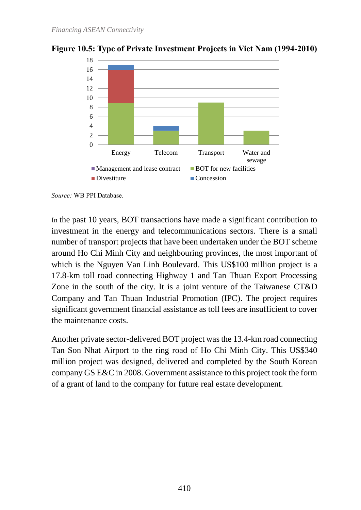

**Figure 10.5: Type of Private Investment Projects in Viet Nam (1994-2010)**

*Source:* WB PPI Database.

In the past 10 years, BOT transactions have made a significant contribution to investment in the energy and telecommunications sectors. There is a small number of transport projects that have been undertaken under the BOT scheme around Ho Chi Minh City and neighbouring provinces, the most important of which is the Nguyen Van Linh Boulevard. This US\$100 million project is a 17.8-km toll road connecting Highway 1 and Tan Thuan Export Processing Zone in the south of the city. It is a joint venture of the Taiwanese CT&D Company and Tan Thuan Industrial Promotion (IPC). The project requires significant government financial assistance as toll fees are insufficient to cover the maintenance costs.

Another private sector-delivered BOT project was the 13.4-km road connecting Tan Son Nhat Airport to the ring road of Ho Chi Minh City. This US\$340 million project was designed, delivered and completed by the South Korean company GS E&C in 2008. Government assistance to this project took the form of a grant of land to the company for future real estate development.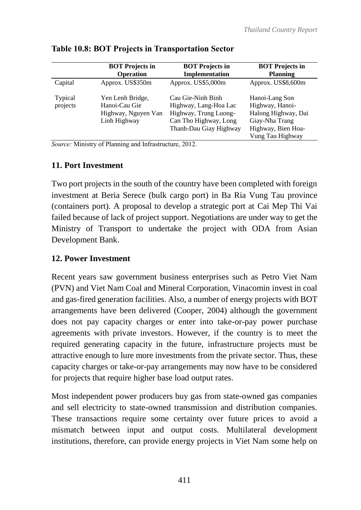|                     | <b>BOT</b> Projects in                                                   | <b>BOT</b> Projects in                                                                                                 | <b>BOT</b> Projects in                                                                                               |
|---------------------|--------------------------------------------------------------------------|------------------------------------------------------------------------------------------------------------------------|----------------------------------------------------------------------------------------------------------------------|
|                     | <b>Operation</b>                                                         | Implementation                                                                                                         | <b>Planning</b>                                                                                                      |
| Capital             | Approx. US\$350m                                                         | Approx. US\$5,000m                                                                                                     | Approx. US\$8,600m                                                                                                   |
| Typical<br>projects | Yen Lenh Bridge,<br>Hanoi-Cau Gie<br>Highway, Nguyen Van<br>Linh Highway | Cau Gie-Ninh Binh<br>Highway, Lang-Hoa Lac<br>Highway, Trung Luong-<br>Can Tho Highway, Long<br>Thanh-Dau Giay Highway | Hanoi-Lang Son<br>Highway, Hanoi-<br>Halong Highway, Dai<br>Giay-Nha Trang<br>Highway, Bien Hoa-<br>Vung Tau Highway |

#### **Table 10.8: BOT Projects in Transportation Sector**

*Source:* Ministry of Planning and Infrastructure, 2012.

#### **11. Port Investment**

Two port projects in the south of the country have been completed with foreign investment at Beria Serece (bulk cargo port) in Ba Ria Vung Tau province (containers port). A proposal to develop a strategic port at Cai Mep Thi Vai failed because of lack of project support. Negotiations are under way to get the Ministry of Transport to undertake the project with ODA from Asian Development Bank.

#### **12. Power Investment**

Recent years saw government business enterprises such as Petro Viet Nam (PVN) and Viet Nam Coal and Mineral Corporation, Vinacomin invest in coal and gas-fired generation facilities. Also, a number of energy projects with BOT arrangements have been delivered (Cooper, 2004) although the government does not pay capacity charges or enter into take-or-pay power purchase agreements with private investors. However, if the country is to meet the required generating capacity in the future, infrastructure projects must be attractive enough to lure more investments from the private sector. Thus, these capacity charges or take-or-pay arrangements may now have to be considered for projects that require higher base load output rates.

Most independent power producers buy gas from state-owned gas companies and sell electricity to state-owned transmission and distribution companies. These transactions require some certainty over future prices to avoid a mismatch between input and output costs. Multilateral development institutions, therefore, can provide energy projects in Viet Nam some help on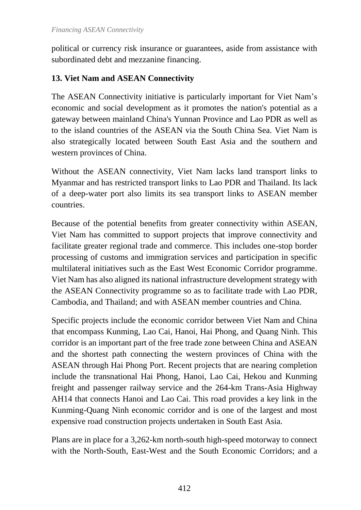political or currency risk insurance or guarantees, aside from assistance with subordinated debt and mezzanine financing.

## **13. Viet Nam and ASEAN Connectivity**

The ASEAN Connectivity initiative is particularly important for Viet Nam's economic and social development as it promotes the nation's potential as a gateway between mainland China's Yunnan Province and Lao PDR as well as to the island countries of the ASEAN via the South China Sea. Viet Nam is also strategically located between South East Asia and the southern and western provinces of China.

Without the ASEAN connectivity, Viet Nam lacks land transport links to Myanmar and has restricted transport links to Lao PDR and Thailand. Its lack of a deep-water port also limits its sea transport links to ASEAN member countries.

Because of the potential benefits from greater connectivity within ASEAN, Viet Nam has committed to support projects that improve connectivity and facilitate greater regional trade and commerce. This includes one-stop border processing of customs and immigration services and participation in specific multilateral initiatives such as the East West Economic Corridor programme. Viet Nam has also aligned its national infrastructure development strategy with the ASEAN Connectivity programme so as to facilitate trade with Lao PDR, Cambodia, and Thailand; and with ASEAN member countries and China.

Specific projects include the economic corridor between Viet Nam and China that encompass Kunming, Lao Cai, Hanoi, Hai Phong, and Quang Ninh. This corridor is an important part of the free trade zone between China and ASEAN and the shortest path connecting the western provinces of China with the ASEAN through Hai Phong Port. Recent projects that are nearing completion include the transnational Hai Phong, Hanoi, Lao Cai, Hekou and Kunming freight and passenger railway service and the 264-km Trans-Asia Highway AH14 that connects Hanoi and Lao Cai. This road provides a key link in the Kunming-Quang Ninh economic corridor and is one of the largest and most expensive road construction projects undertaken in South East Asia.

Plans are in place for a 3,262-km north-south high-speed motorway to connect with the North-South, East-West and the South Economic Corridors; and a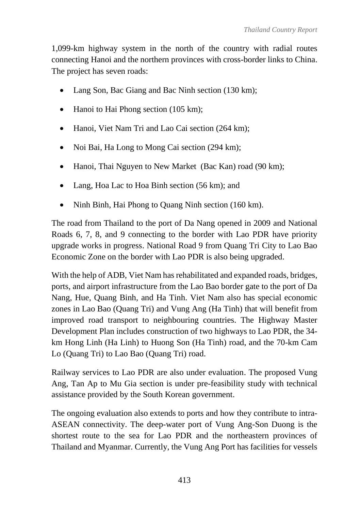1,099-km highway system in the north of the country with radial routes connecting Hanoi and the northern provinces with cross-border links to China. The project has seven roads:

- Lang Son, Bac Giang and Bac Ninh section (130 km);
- Hanoi to Hai Phong section (105 km);
- Hanoi, Viet Nam Tri and Lao Cai section (264 km);
- Noi Bai, Ha Long to Mong Cai section (294 km);
- Hanoi, Thai Nguyen to New Market (Bac Kan) road (90 km);
- Lang, Hoa Lac to Hoa Binh section (56 km); and
- Ninh Binh, Hai Phong to Quang Ninh section (160 km).

The road from Thailand to the port of Da Nang opened in 2009 and National Roads 6, 7, 8, and 9 connecting to the border with Lao PDR have priority upgrade works in progress. National Road 9 from Quang Tri City to Lao Bao Economic Zone on the border with Lao PDR is also being upgraded.

With the help of ADB, Viet Nam has rehabilitated and expanded roads, bridges, ports, and airport infrastructure from the Lao Bao border gate to the port of Da Nang, Hue, Quang Binh, and Ha Tinh. Viet Nam also has special economic zones in Lao Bao (Quang Tri) and Vung Ang (Ha Tinh) that will benefit from improved road transport to neighbouring countries. The Highway Master Development Plan includes construction of two highways to Lao PDR, the 34 km Hong Linh (Ha Linh) to Huong Son (Ha Tinh) road, and the 70-km Cam Lo (Quang Tri) to Lao Bao (Quang Tri) road.

Railway services to Lao PDR are also under evaluation. The proposed Vung Ang, Tan Ap to Mu Gia section is under pre-feasibility study with technical assistance provided by the South Korean government.

The ongoing evaluation also extends to ports and how they contribute to intra-ASEAN connectivity. The deep-water port of Vung Ang-Son Duong is the shortest route to the sea for Lao PDR and the northeastern provinces of Thailand and Myanmar. Currently, the Vung Ang Port has facilities for vessels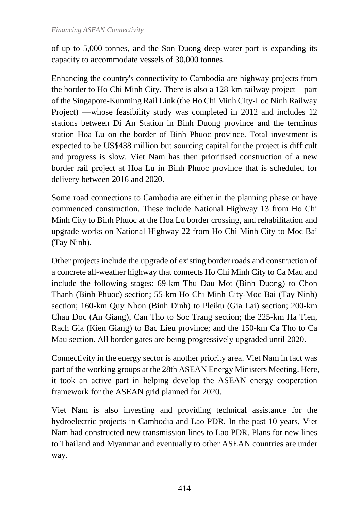of up to 5,000 tonnes, and the Son Duong deep-water port is expanding its capacity to accommodate vessels of 30,000 tonnes.

Enhancing the country's connectivity to Cambodia are highway projects from the border to Ho Chi Minh City. There is also a 128-km railway project—part of the Singapore-Kunming Rail Link (the Ho Chi Minh City-Loc Ninh Railway Project) —whose feasibility study was completed in 2012 and includes 12 stations between Di An Station in Binh Duong province and the terminus station Hoa Lu on the border of Binh Phuoc province. Total investment is expected to be US\$438 million but sourcing capital for the project is difficult and progress is slow. Viet Nam has then prioritised construction of a new border rail project at Hoa Lu in Binh Phuoc province that is scheduled for delivery between 2016 and 2020.

Some road connections to Cambodia are either in the planning phase or have commenced construction. These include National Highway 13 from Ho Chi Minh City to Binh Phuoc at the Hoa Lu border crossing, and rehabilitation and upgrade works on National Highway 22 from Ho Chi Minh City to Moc Bai (Tay Ninh).

Other projects include the upgrade of existing border roads and construction of a concrete all-weather highway that connects Ho Chi Minh City to Ca Mau and include the following stages: 69-km Thu Dau Mot (Binh Duong) to Chon Thanh (Binh Phuoc) section; 55-km Ho Chi Minh City-Moc Bai (Tay Ninh) section; 160-km Quy Nhon (Binh Dinh) to Pleiku (Gia Lai) section; 200-km Chau Doc (An Giang), Can Tho to Soc Trang section; the 225-km Ha Tien, Rach Gia (Kien Giang) to Bac Lieu province; and the 150-km Ca Tho to Ca Mau section. All border gates are being progressively upgraded until 2020.

Connectivity in the energy sector is another priority area. Viet Nam in fact was part of the working groups at the 28th ASEAN Energy Ministers Meeting. Here, it took an active part in helping develop the ASEAN energy cooperation framework for the ASEAN grid planned for 2020.

Viet Nam is also investing and providing technical assistance for the hydroelectric projects in Cambodia and Lao PDR. In the past 10 years, Viet Nam had constructed new transmission lines to Lao PDR. Plans for new lines to Thailand and Myanmar and eventually to other ASEAN countries are under way.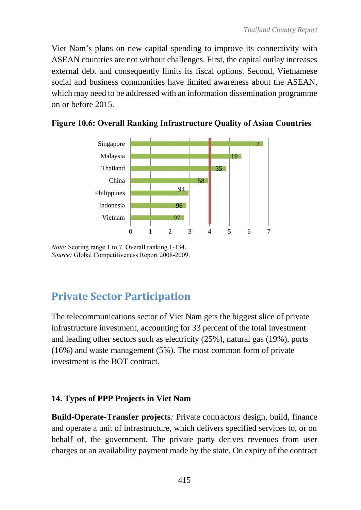Viet Nam's plans on new capital spending to improve its connectivity with ASEAN countries are not without challenges. First, the capital outlay increases external debt and consequently limits its fiscal options. Second, Vietnamese social and business communities have limited awareness about the ASEAN, which may need to be addressed with an information dissemination programme on or before 2015.



**Figure 10.6: Overall Ranking Infrastructure Quality of Asian Countries**

*Note:* Scoring range 1 to 7. Overall ranking 1-134. *Source:* Global Competitiveness Report 2008-2009.

# **Private Sector Participation**

The telecommunications sector of Viet Nam gets the biggest slice of private infrastructure investment, accounting for 33 percent of the total investment and leading other sectors such as electricity (25%), natural gas (19%), ports (16%) and waste management (5%). The most common form of private investment is the BOT contract.

#### **14. Types of PPP Projects in Viet Nam**

**Build-Operate-Transfer projects***:* Private contractors design, build, finance and operate a unit of infrastructure, which delivers specified services to, or on behalf of, the government. The private party derives revenues from user charges or an availability payment made by the state. On expiry of the contract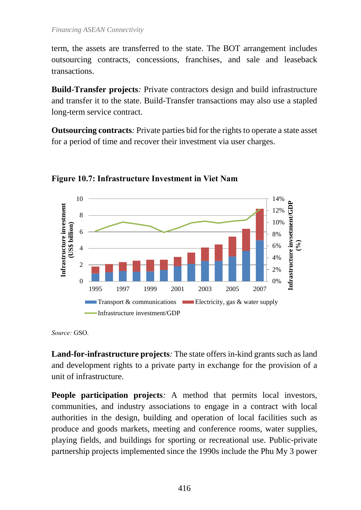term, the assets are transferred to the state. The BOT arrangement includes outsourcing contracts, concessions, franchises, and sale and leaseback transactions.

**Build-Transfer projects***:* Private contractors design and build infrastructure and transfer it to the state. Build-Transfer transactions may also use a stapled long-term service contract.

**Outsourcing contracts***:* Private parties bid for the rights to operate a state asset for a period of time and recover their investment via user charges.



**Figure 10.7: Infrastructure Investment in Viet Nam**

*Source:* GSO.

**Land-for-infrastructure projects***:* The state offers in-kind grants such as land and development rights to a private party in exchange for the provision of a unit of infrastructure.

**People participation projects**: A method that permits local investors, communities, and industry associations to engage in a contract with local authorities in the design, building and operation of local facilities such as produce and goods markets, meeting and conference rooms, water supplies, playing fields, and buildings for sporting or recreational use. Public-private partnership projects implemented since the 1990s include the Phu My 3 power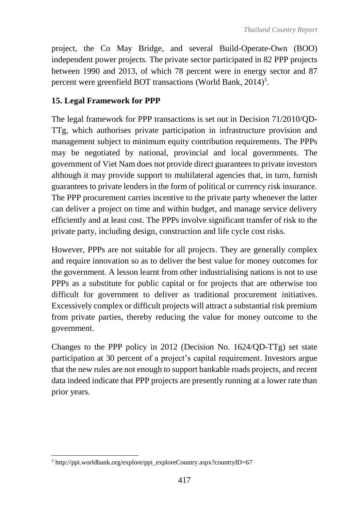project, the Co May Bridge, and several Build-Operate-Own (BOO) independent power projects. The private sector participated in 82 PPP projects between 1990 and 2013, of which 78 percent were in energy sector and 87 percent were greenfield BOT transactions (World Bank, 2014)<sup>3</sup>.

## **15. Legal Framework for PPP**

The legal framework for PPP transactions is set out in Decision 71/2010/QD-TTg, which authorises private participation in infrastructure provision and management subject to minimum equity contribution requirements. The PPPs may be negotiated by national, provincial and local governments. The government of Viet Nam does not provide direct guarantees to private investors although it may provide support to multilateral agencies that, in turn, furnish guarantees to private lenders in the form of political or currency risk insurance. The PPP procurement carries incentive to the private party whenever the latter can deliver a project on time and within budget, and manage service delivery efficiently and at least cost. The PPPs involve significant transfer of risk to the private party, including design, construction and life cycle cost risks.

However, PPPs are not suitable for all projects. They are generally complex and require innovation so as to deliver the best value for money outcomes for the government. A lesson learnt from other industrialising nations is not to use PPPs as a substitute for public capital or for projects that are otherwise too difficult for government to deliver as traditional procurement initiatives. Excessively complex or difficult projects will attract a substantial risk premium from private parties, thereby reducing the value for money outcome to the government.

Changes to the PPP policy in 2012 (Decision No. 1624/QD-TTg) set state participation at 30 percent of a project's capital requirement. Investors argue that the new rules are not enough to support bankable roads projects, and recent data indeed indicate that PPP projects are presently running at a lower rate than prior years.

 $\overline{a}$  $3 \text{ http://psi.com/dbank.org/explore/psi-exphere/countrv.185px?countrvID=67$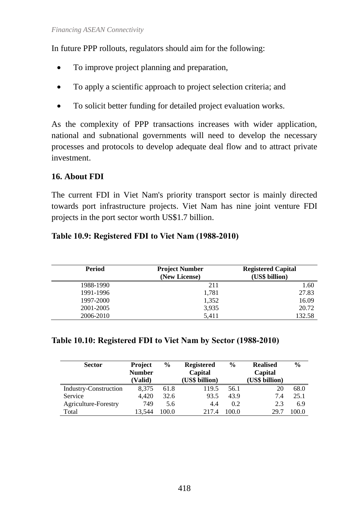In future PPP rollouts, regulators should aim for the following:

- To improve project planning and preparation,
- To apply a scientific approach to project selection criteria; and
- To solicit better funding for detailed project evaluation works.

As the complexity of PPP transactions increases with wider application, national and subnational governments will need to develop the necessary processes and protocols to develop adequate deal flow and to attract private investment.

#### **16. About FDI**

The current FDI in Viet Nam's priority transport sector is mainly directed towards port infrastructure projects. Viet Nam has nine joint venture FDI projects in the port sector worth US\$1.7 billion.

**Table 10.9: Registered FDI to Viet Nam (1988-2010)**

| <b>Period</b> | <b>Project Number</b><br>(New License) | <b>Registered Capital</b><br>(US\$ billion) |
|---------------|----------------------------------------|---------------------------------------------|
| 1988-1990     | 211                                    | 1.60                                        |
| 1991-1996     | 1,781                                  | 27.83                                       |
| 1997-2000     | 1,352                                  | 16.09                                       |
| 2001-2005     | 3,935                                  | 20.72                                       |
| 2006-2010     | 5,411                                  | 132.58                                      |

#### **Table 10.10: Registered FDI to Viet Nam by Sector (1988-2010)**

| <b>Sector</b>         | <b>Project</b><br><b>Number</b><br>(Valid) | $\frac{6}{6}$ | <b>Registered</b><br>Capital<br>(US\$ billion) | $\frac{6}{9}$ | <b>Realised</b><br>Capital<br>(US\$ billion) | $\frac{0}{0}$ |
|-----------------------|--------------------------------------------|---------------|------------------------------------------------|---------------|----------------------------------------------|---------------|
| Industry-Construction | 8,375                                      | 61.8          | 119.5                                          | 56.1          | 20                                           | 68.0          |
| Service               | 4,420                                      | 32.6          | 93.5                                           | 43.9          | 7.4                                          | 25.1          |
| Agriculture-Forestry  | 749                                        | 5.6           | 4.4                                            | 0.2           | 2.3                                          | 6.9           |
| Total                 | 13,544                                     | 100.0         | 2174                                           | 100.0         | 29.7                                         | 100.0         |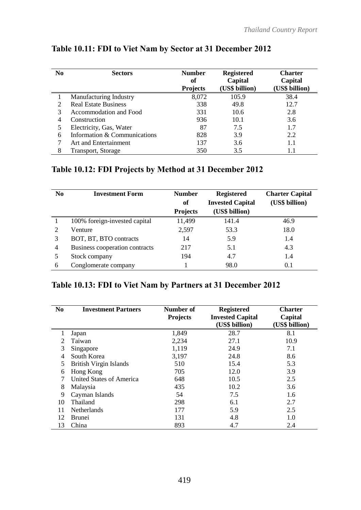| N <sub>0</sub> | <b>Sectors</b>               | <b>Number</b><br>оf<br><b>Projects</b> | <b>Registered</b><br>Capital<br>(US\$ billion) | <b>Charter</b><br>Capital<br>(US\$ billion) |
|----------------|------------------------------|----------------------------------------|------------------------------------------------|---------------------------------------------|
|                | Manufacturing Industry       | 8,072                                  | 105.9                                          | 38.4                                        |
| 2              | <b>Real Estate Business</b>  | 338                                    | 49.8                                           | 12.7                                        |
| 3              | Accommodation and Food       | 331                                    | 10.6                                           | 2.8                                         |
| 4              | Construction                 | 936                                    | 10.1                                           | 3.6                                         |
|                | Electricity, Gas, Water      | 87                                     | 7.5                                            | 1.7                                         |
| 6              | Information & Communications | 828                                    | 3.9                                            | 2.2                                         |
| 7              | Art and Entertainment        | 137                                    | 3.6                                            | 1.1                                         |
| 8              | Transport, Storage           | 350                                    | 3.5                                            | 1.1                                         |

## **Table 10.11: FDI to Viet Nam by Sector at 31 December 2012**

## **Table 10.12: FDI Projects by Method at 31 December 2012**

| N <sub>0</sub> | <b>Investment Form</b>         | <b>Number</b><br>of | <b>Registered</b><br><b>Invested Capital</b> | <b>Charter Capital</b><br>(US\$ billion) |
|----------------|--------------------------------|---------------------|----------------------------------------------|------------------------------------------|
|                |                                | <b>Projects</b>     | (US\$ billion)                               |                                          |
|                | 100% foreign-invested capital  | 11,499              | 141.4                                        | 46.9                                     |
|                | Venture                        | 2,597               | 53.3                                         | 18.0                                     |
| 3              | BOT, BT, BTO contracts         | 14                  | 5.9                                          | 1.4                                      |
| 4              | Business cooperation contracts | 217                 | 5.1                                          | 4.3                                      |
| 5              | Stock company                  | 194                 | 4.7                                          | 1.4                                      |
| 6              | Conglomerate company           |                     | 98.0                                         | 0.1                                      |

## **Table 10.13: FDI to Viet Nam by Partners at 31 December 2012**

| N <sub>0</sub>        | <b>Investment Partners</b>    | Number of<br><b>Projects</b> | <b>Registered</b><br><b>Invested Capital</b><br>(US\$ billion) | <b>Charter</b><br>Capital<br>(US\$ billion) |
|-----------------------|-------------------------------|------------------------------|----------------------------------------------------------------|---------------------------------------------|
|                       | Japan                         | 1,849                        | 28.7                                                           | 8.1                                         |
| $\mathcal{D}_{\cdot}$ | Taiwan                        | 2,234                        | 27.1                                                           | 10.9                                        |
| 3                     | Singapore                     | 1,119                        | 24.9                                                           | 7.1                                         |
| 4                     | South Korea                   | 3,197                        | 24.8                                                           | 8.6                                         |
| 5                     | <b>British Virgin Islands</b> | 510                          | 15.4                                                           | 5.3                                         |
| 6                     | Hong Kong                     | 705                          | 12.0                                                           | 3.9                                         |
|                       | United States of America      | 648                          | 10.5                                                           | 2.5                                         |
| 8                     | Malaysia                      | 435                          | 10.2                                                           | 3.6                                         |
| 9                     | Cayman Islands                | 54                           | 7.5                                                            | 1.6                                         |
| 10                    | Thailand                      | 298                          | 6.1                                                            | 2.7                                         |
| 11                    | <b>Netherlands</b>            | 177                          | 5.9                                                            | 2.5                                         |
| 12                    | <b>Brunei</b>                 | 131                          | 4.8                                                            | 1.0                                         |
| 13                    | China                         | 893                          | 4.7                                                            | 2.4                                         |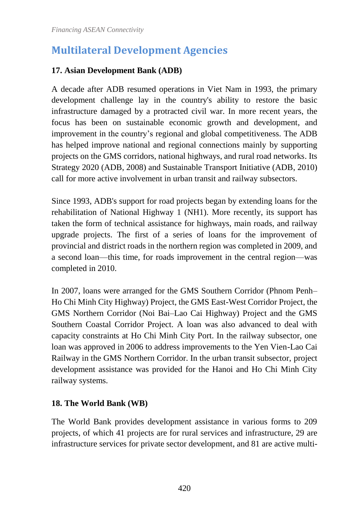# **Multilateral Development Agencies**

#### **17. Asian Development Bank (ADB)**

A decade after ADB resumed operations in Viet Nam in 1993, the primary development challenge lay in the country's ability to restore the basic infrastructure damaged by a protracted civil war. In more recent years, the focus has been on sustainable economic growth and development, and improvement in the country's regional and global competitiveness. The ADB has helped improve national and regional connections mainly by supporting projects on the GMS corridors, national highways, and rural road networks. Its Strategy 2020 (ADB, 2008) and Sustainable Transport Initiative (ADB, 2010) call for more active involvement in urban transit and railway subsectors.

Since 1993, ADB's support for road projects began by extending loans for the rehabilitation of National Highway 1 (NH1). More recently, its support has taken the form of technical assistance for highways, main roads, and railway upgrade projects. The first of a series of loans for the improvement of provincial and district roads in the northern region was completed in 2009, and a second loan—this time, for roads improvement in the central region—was completed in 2010.

In 2007, loans were arranged for the GMS Southern Corridor (Phnom Penh– Ho Chi Minh City Highway) Project, the GMS East-West Corridor Project, the GMS Northern Corridor (Noi Bai–Lao Cai Highway) Project and the GMS Southern Coastal Corridor Project. A loan was also advanced to deal with capacity constraints at Ho Chi Minh City Port. In the railway subsector, one loan was approved in 2006 to address improvements to the Yen Vien-Lao Cai Railway in the GMS Northern Corridor. In the urban transit subsector, project development assistance was provided for the Hanoi and Ho Chi Minh City railway systems.

#### **18. The World Bank (WB)**

The World Bank provides development assistance in various forms to 209 projects, of which 41 projects are for rural services and infrastructure, 29 are infrastructure services for private sector development, and 81 are active multi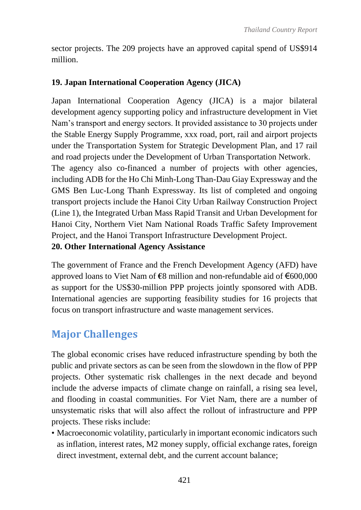sector projects. The 209 projects have an approved capital spend of US\$914 million.

#### **19. Japan International Cooperation Agency (JICA)**

Japan International Cooperation Agency (JICA) is a major bilateral development agency supporting policy and infrastructure development in Viet Nam's transport and energy sectors. It provided assistance to 30 projects under the Stable Energy Supply Programme, xxx road, port, rail and airport projects under the Transportation System for Strategic Development Plan, and 17 rail and road projects under the Development of Urban Transportation Network. The agency also co-financed a number of projects with other agencies, including ADB for the Ho Chi Minh-Long Than-Dau Giay Expressway and the GMS Ben Luc-Long Thanh Expressway. Its list of completed and ongoing transport projects include the Hanoi City Urban Railway Construction Project (Line 1), the Integrated Urban Mass Rapid Transit and Urban Development for Hanoi City, Northern Viet Nam National Roads Traffic Safety Improvement Project, and the Hanoi Transport Infrastructure Development Project.

#### **20. Other International Agency Assistance**

The government of France and the French Development Agency (AFD) have approved loans to Viet Nam of **€**8 million and non-refundable aid of €600,000 as support for the US\$30-million PPP projects jointly sponsored with ADB. International agencies are supporting feasibility studies for 16 projects that focus on transport infrastructure and waste management services.

# **Major Challenges**

The global economic crises have reduced infrastructure spending by both the public and private sectors as can be seen from the slowdown in the flow of PPP projects. Other systematic risk challenges in the next decade and beyond include the adverse impacts of climate change on rainfall, a rising sea level, and flooding in coastal communities. For Viet Nam, there are a number of unsystematic risks that will also affect the rollout of infrastructure and PPP projects. These risks include:

• Macroeconomic volatility, particularly in important economic indicators such as inflation, interest rates, M2 money supply, official exchange rates, foreign direct investment, external debt, and the current account balance;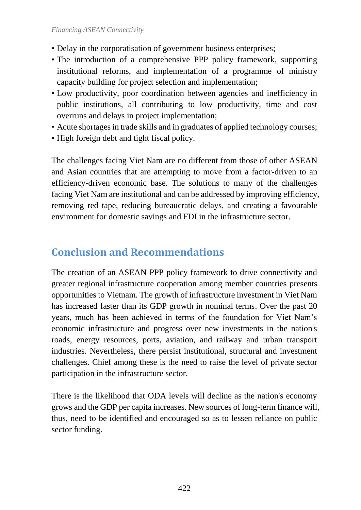- Delay in the corporatisation of government business enterprises;
- The introduction of a comprehensive PPP policy framework, supporting institutional reforms, and implementation of a programme of ministry capacity building for project selection and implementation;
- Low productivity, poor coordination between agencies and inefficiency in public institutions, all contributing to low productivity, time and cost overruns and delays in project implementation;
- Acute shortages in trade skills and in graduates of applied technology courses;
- High foreign debt and tight fiscal policy.

The challenges facing Viet Nam are no different from those of other ASEAN and Asian countries that are attempting to move from a factor-driven to an efficiency-driven economic base. The solutions to many of the challenges facing Viet Nam are institutional and can be addressed by improving efficiency, removing red tape, reducing bureaucratic delays, and creating a favourable environment for domestic savings and FDI in the infrastructure sector.

# **Conclusion and Recommendations**

The creation of an ASEAN PPP policy framework to drive connectivity and greater regional infrastructure cooperation among member countries presents opportunities to Vietnam. The growth of infrastructure investment in Viet Nam has increased faster than its GDP growth in nominal terms. Over the past 20 years, much has been achieved in terms of the foundation for Viet Nam's economic infrastructure and progress over new investments in the nation's roads, energy resources, ports, aviation, and railway and urban transport industries. Nevertheless, there persist institutional, structural and investment challenges. Chief among these is the need to raise the level of private sector participation in the infrastructure sector.

There is the likelihood that ODA levels will decline as the nation's economy grows and the GDP per capita increases. New sources of long-term finance will, thus, need to be identified and encouraged so as to lessen reliance on public sector funding.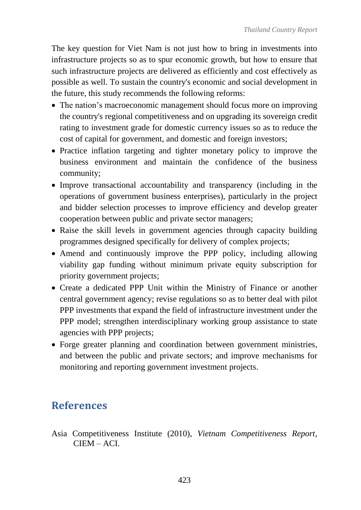The key question for Viet Nam is not just how to bring in investments into infrastructure projects so as to spur economic growth, but how to ensure that such infrastructure projects are delivered as efficiently and cost effectively as possible as well. To sustain the country's economic and social development in the future, this study recommends the following reforms:

- The nation's macroeconomic management should focus more on improving the country's regional competitiveness and on upgrading its sovereign credit rating to investment grade for domestic currency issues so as to reduce the cost of capital for government, and domestic and foreign investors;
- Practice inflation targeting and tighter monetary policy to improve the business environment and maintain the confidence of the business community;
- Improve transactional accountability and transparency (including in the operations of government business enterprises), particularly in the project and bidder selection processes to improve efficiency and develop greater cooperation between public and private sector managers;
- Raise the skill levels in government agencies through capacity building programmes designed specifically for delivery of complex projects;
- Amend and continuously improve the PPP policy, including allowing viability gap funding without minimum private equity subscription for priority government projects;
- Create a dedicated PPP Unit within the Ministry of Finance or another central government agency; revise regulations so as to better deal with pilot PPP investments that expand the field of infrastructure investment under the PPP model; strengthen interdisciplinary working group assistance to state agencies with PPP projects;
- Forge greater planning and coordination between government ministries, and between the public and private sectors; and improve mechanisms for monitoring and reporting government investment projects.

# **References**

Asia Competitiveness Institute (2010), *Vietnam Competitiveness Report*, CIEM – ACI.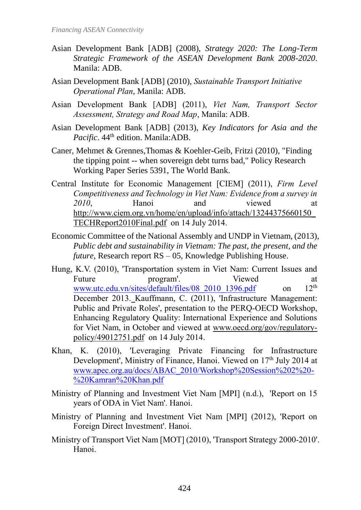- Asian Development Bank [ADB] (2008), *Strategy 2020: The Long-Term Strategic Framework of the ASEAN Development Bank 2008-2020*. Manila: ADB.
- Asian Development Bank [ADB] (2010), *Sustainable Transport Initiative Operational Plan*, Manila: ADB.
- Asian Development Bank [ADB] (2011), *Viet Nam, Transport Sector Assessment, Strategy and Road Map*, Manila: ADB.
- Asian Development Bank [ADB] (2013), *Key Indicators for Asia and the*  Pacific. 44<sup>th</sup> edition. Manila: ADB.
- Caner, Mehmet & Grennes,Thomas & Koehler-Geib, Fritzi (2010), "Finding the tipping point -- when sovereign debt turns bad," Policy Research Working Paper Series 5391, The World Bank.
- Central Institute for Economic Management [CIEM] (2011), *Firm Level Competitiveness and Technology in Viet Nam: Evidence from a survey in*  2010, Hanoi and viewed at [http://www.ciem.org.vn/home/en/upload/info/attach/13244375660150\\_](http://www.ciem.org.vn/home/en/upload/info/attach/13244375660150_TECHReport2010Final.pdf) [TECHReport2010Final.pdf](http://www.ciem.org.vn/home/en/upload/info/attach/13244375660150_TECHReport2010Final.pdf) on 14 July 2014.
- Economic Committee of the National Assembly and UNDP in Vietnam, (2013), *Public debt and sustainability in Vietnam: The past, the present, and the future*, Research report RS – 05, Knowledge Publishing House.
- Hung, K.V. (2010), 'Transportation system in Viet Nam: Current Issues and Future program'. Viewed at www.utc.edu.vn/sites/default/files/08 2010 1396.pdf on 12<sup>th</sup> December 2013. Kauffmann, C. (2011), 'Infrastructure Management: Public and Private Roles', presentation to the PERQ-OECD Workshop, Enhancing Regulatory Quality: International Experience and Solutions for Viet Nam, in October and viewed at www.oecd.org/gov/regulatorypolicy/49012751.pdf on 14 July 2014.
- Khan, K. (2010), 'Leveraging Private Financing for Infrastructure Development', Ministry of Finance, Hanoi. Viewed on 17<sup>th</sup> July 2014 at www.apec.org.au/docs/ABAC\_2010/Workshop%20Session%202%20- %20Kamran%20Khan.pdf
- Ministry of Planning and Investment Viet Nam [MPI] (n.d.), 'Report on 15 years of ODA in Viet Nam'. Hanoi.
- Ministry of Planning and Investment Viet Nam [MPI] (2012), 'Report on Foreign Direct Investment'. Hanoi.
- Ministry of Transport Viet Nam [MOT] (2010), 'Transport Strategy 2000-2010'. Hanoi.